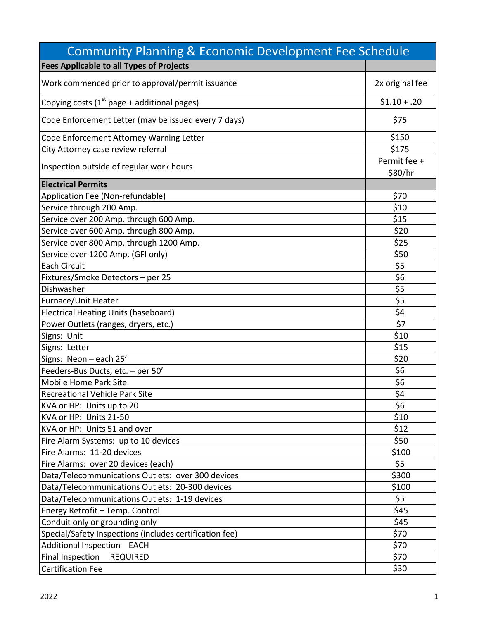| <b>Community Planning &amp; Economic Development Fee Schedule</b> |                         |
|-------------------------------------------------------------------|-------------------------|
| <b>Fees Applicable to all Types of Projects</b>                   |                         |
| Work commenced prior to approval/permit issuance                  | 2x original fee         |
| Copying costs $(1st$ page + additional pages)                     | $$1.10 + .20$           |
| Code Enforcement Letter (may be issued every 7 days)              | \$75                    |
| Code Enforcement Attorney Warning Letter                          | \$150                   |
| City Attorney case review referral                                | \$175                   |
| Inspection outside of regular work hours                          | Permit fee +<br>\$80/hr |
| <b>Electrical Permits</b>                                         |                         |
| Application Fee (Non-refundable)                                  | \$70                    |
| Service through 200 Amp.                                          | \$10                    |
| Service over 200 Amp. through 600 Amp.                            | \$15                    |
| Service over 600 Amp. through 800 Amp.                            | \$20                    |
| Service over 800 Amp. through 1200 Amp.                           | \$25                    |
| Service over 1200 Amp. (GFI only)                                 | \$50                    |
| <b>Each Circuit</b>                                               | \$5                     |
| Fixtures/Smoke Detectors - per 25                                 | \$6                     |
| Dishwasher                                                        | \$5                     |
| Furnace/Unit Heater                                               | \$5                     |
| Electrical Heating Units (baseboard)                              | \$4                     |
| Power Outlets (ranges, dryers, etc.)                              | \$7                     |
| Signs: Unit                                                       | \$10                    |
| Signs: Letter                                                     | \$15                    |
| Signs: Neon - each 25'                                            | \$20                    |
| Feeders-Bus Ducts, etc. - per 50'                                 | \$6                     |
| <b>Mobile Home Park Site</b>                                      | \$6                     |
| <b>Recreational Vehicle Park Site</b>                             | <u>\$4</u>              |
| KVA or HP: Units up to 20                                         | \$6                     |
| KVA or HP: Units 21-50                                            | \$10                    |
| KVA or HP: Units 51 and over                                      | \$12                    |
| Fire Alarm Systems: up to 10 devices                              | \$50                    |
| Fire Alarms: 11-20 devices                                        | \$100                   |
| Fire Alarms: over 20 devices (each)                               | \$5                     |
| Data/Telecommunications Outlets: over 300 devices                 | \$300                   |
| Data/Telecommunications Outlets: 20-300 devices                   | \$100                   |
| Data/Telecommunications Outlets: 1-19 devices                     | \$5                     |
| Energy Retrofit - Temp. Control                                   | \$45                    |
| Conduit only or grounding only                                    | \$45                    |
| Special/Safety Inspections (includes certification fee)           | \$70                    |
| <b>Additional Inspection</b><br><b>EACH</b>                       | \$70                    |
| <b>Final Inspection</b><br><b>REQUIRED</b>                        | \$70                    |
| <b>Certification Fee</b>                                          | \$30                    |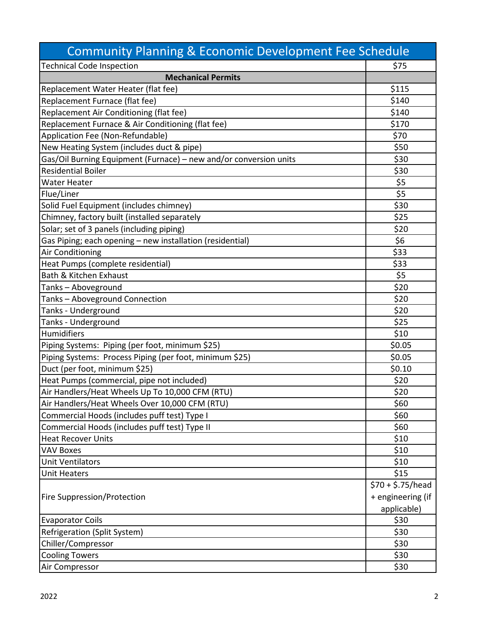| <b>Community Planning &amp; Economic Development Fee Schedule</b> |                    |
|-------------------------------------------------------------------|--------------------|
| <b>Technical Code Inspection</b>                                  | \$75               |
| <b>Mechanical Permits</b>                                         |                    |
| Replacement Water Heater (flat fee)                               | \$115              |
| Replacement Furnace (flat fee)                                    | \$140              |
| Replacement Air Conditioning (flat fee)                           | \$140              |
| Replacement Furnace & Air Conditioning (flat fee)                 | \$170              |
| Application Fee (Non-Refundable)                                  | \$70               |
| New Heating System (includes duct & pipe)                         | \$50               |
| Gas/Oil Burning Equipment (Furnace) - new and/or conversion units | \$30               |
| <b>Residential Boiler</b>                                         | \$30               |
| <b>Water Heater</b>                                               | \$5                |
| Flue/Liner                                                        | \$5                |
| Solid Fuel Equipment (includes chimney)                           | \$30               |
| Chimney, factory built (installed separately                      | \$25               |
| Solar; set of 3 panels (including piping)                         | \$20               |
| Gas Piping; each opening - new installation (residential)         | \$6                |
| Air Conditioning                                                  | \$33               |
| Heat Pumps (complete residential)                                 | \$33               |
| Bath & Kitchen Exhaust                                            | \$5                |
| Tanks-Aboveground                                                 | \$20               |
| Tanks-Aboveground Connection                                      | \$20               |
| Tanks - Underground                                               | \$20               |
| Tanks - Underground                                               | \$25               |
| Humidifiers                                                       | \$10               |
| Piping Systems: Piping (per foot, minimum \$25)                   | \$0.05             |
| Piping Systems: Process Piping (per foot, minimum \$25)           | \$0.05             |
| Duct (per foot, minimum \$25)                                     | \$0.10             |
| Heat Pumps (commercial, pipe not included)                        | \$20               |
| Air Handlers/Heat Wheels Up To 10,000 CFM (RTU)                   | \$20               |
| Air Handlers/Heat Wheels Over 10,000 CFM (RTU)                    | \$60               |
| Commercial Hoods (includes puff test) Type I                      | \$60               |
| Commercial Hoods (includes puff test) Type II                     | \$60               |
| <b>Heat Recover Units</b>                                         | \$10               |
| <b>VAV Boxes</b>                                                  | \$10               |
| <b>Unit Ventilators</b>                                           | \$10               |
| <b>Unit Heaters</b>                                               | \$15               |
|                                                                   | $570 + $.75$ /head |
| <b>Fire Suppression/Protection</b>                                | + engineering (if  |
|                                                                   | applicable)        |
| <b>Evaporator Coils</b>                                           | \$30               |
| Refrigeration (Split System)                                      | \$30               |
| Chiller/Compressor                                                | \$30               |
| <b>Cooling Towers</b>                                             | \$30               |
| Air Compressor                                                    | \$30               |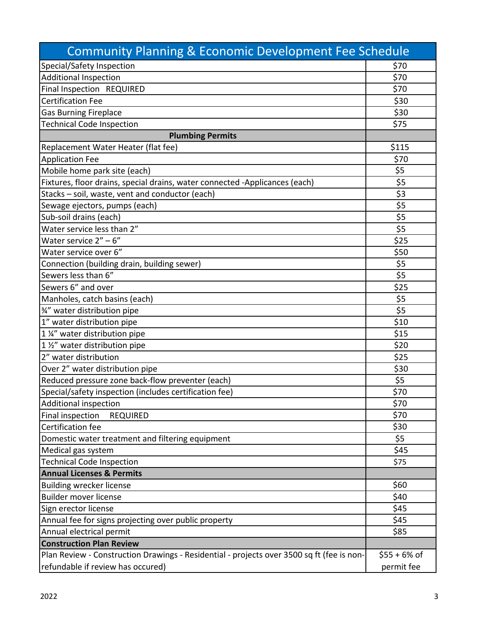| <b>Community Planning &amp; Economic Development Fee Schedule</b>                         |                |
|-------------------------------------------------------------------------------------------|----------------|
| Special/Safety Inspection                                                                 | \$70           |
| <b>Additional Inspection</b>                                                              | \$70           |
| Final Inspection REQUIRED                                                                 | \$70           |
| <b>Certification Fee</b>                                                                  | \$30           |
| <b>Gas Burning Fireplace</b>                                                              | \$30           |
| <b>Technical Code Inspection</b>                                                          | \$75           |
| <b>Plumbing Permits</b>                                                                   |                |
| Replacement Water Heater (flat fee)                                                       | \$115          |
| <b>Application Fee</b>                                                                    | \$70           |
| Mobile home park site (each)                                                              | \$5            |
| Fixtures, floor drains, special drains, water connected -Applicances (each)               | \$5            |
| Stacks - soil, waste, vent and conductor (each)                                           | \$3            |
| Sewage ejectors, pumps (each)                                                             | \$5            |
| Sub-soil drains (each)                                                                    | \$5            |
| Water service less than 2"                                                                | \$5            |
| Water service $2'' - 6''$                                                                 | \$25           |
| Water service over 6"                                                                     | \$50           |
| Connection (building drain, building sewer)                                               | \$5            |
| Sewers less than 6"                                                                       | \$5            |
| Sewers 6" and over                                                                        | \$25           |
| Manholes, catch basins (each)                                                             | \$5            |
| 3/4" water distribution pipe                                                              | \$5            |
| 1" water distribution pipe                                                                | \$10           |
| 1 %" water distribution pipe                                                              | \$15           |
| 1 1/2" water distribution pipe                                                            | \$20           |
| 2" water distribution                                                                     | \$25           |
| Over 2" water distribution pipe                                                           | \$30           |
| Reduced pressure zone back-flow preventer (each)                                          | \$5            |
| Special/safety inspection (includes certification fee)                                    | \$70           |
| Additional inspection                                                                     | \$70           |
| Final inspection<br><b>REQUIRED</b>                                                       | \$70           |
| Certification fee                                                                         | \$30           |
| Domestic water treatment and filtering equipment                                          | \$5            |
| Medical gas system                                                                        | \$45           |
| <b>Technical Code Inspection</b>                                                          | \$75           |
| <b>Annual Licenses &amp; Permits</b>                                                      |                |
| <b>Building wrecker license</b>                                                           | \$60           |
| Builder mover license                                                                     | \$40           |
| Sign erector license                                                                      | \$45           |
| Annual fee for signs projecting over public property                                      | \$45           |
| Annual electrical permit                                                                  | \$85           |
| <b>Construction Plan Review</b>                                                           |                |
| Plan Review - Construction Drawings - Residential - projects over 3500 sq ft (fee is non- | $$55 + 6\%$ of |
| refundable if review has occured)                                                         | permit fee     |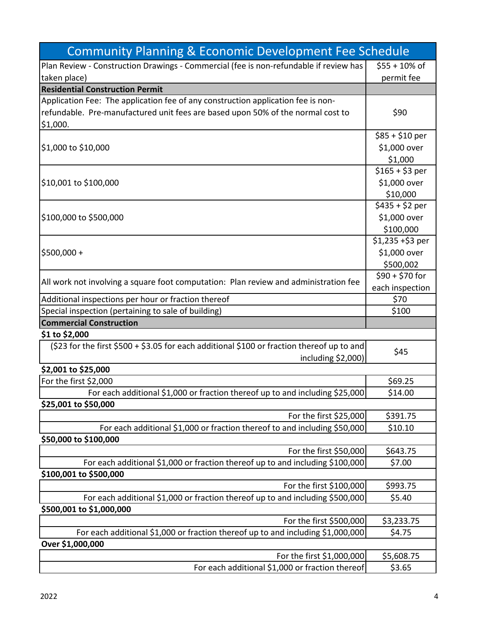| <b>Community Planning &amp; Economic Development Fee Schedule</b>                          |                   |
|--------------------------------------------------------------------------------------------|-------------------|
| Plan Review - Construction Drawings - Commercial (fee is non-refundable if review has      | $$55 + 10\%$ of   |
| taken place)                                                                               | permit fee        |
| <b>Residential Construction Permit</b>                                                     |                   |
| Application Fee: The application fee of any construction application fee is non-           |                   |
| refundable. Pre-manufactured unit fees are based upon 50% of the normal cost to            | \$90              |
| \$1,000.                                                                                   |                   |
|                                                                                            | $$85 + $10$ per   |
| \$1,000 to \$10,000                                                                        | \$1,000 over      |
|                                                                                            | \$1,000           |
|                                                                                            | $$165 + $3$ per   |
| \$10,001 to \$100,000                                                                      | \$1,000 over      |
|                                                                                            | \$10,000          |
|                                                                                            | $$435 + $2$ per   |
| \$100,000 to \$500,000                                                                     | \$1,000 over      |
|                                                                                            | \$100,000         |
|                                                                                            | $$1,235 + $3$ per |
| \$500,000+                                                                                 | \$1,000 over      |
|                                                                                            | \$500,002         |
|                                                                                            | $$90 + $70$ for   |
| All work not involving a square foot computation: Plan review and administration fee       | each inspection   |
| Additional inspections per hour or fraction thereof                                        | \$70              |
| Special inspection (pertaining to sale of building)                                        | \$100             |
| <b>Commercial Construction</b>                                                             |                   |
| \$1 to \$2,000                                                                             |                   |
| (\$23 for the first \$500 + \$3.05 for each additional \$100 or fraction thereof up to and |                   |
| including \$2,000)                                                                         | \$45              |
| \$2,001 to \$25,000                                                                        |                   |
| For the first \$2,000                                                                      | \$69.25           |
| For each additional \$1,000 or fraction thereof up to and including \$25,000               | \$14.00           |
| \$25,001 to \$50,000                                                                       |                   |
| For the first \$25,000                                                                     | \$391.75          |
| For each additional \$1,000 or fraction thereof to and including \$50,000                  | \$10.10           |
|                                                                                            |                   |
| \$50,000 to \$100,000                                                                      |                   |
| For the first \$50,000                                                                     | \$643.75          |
| For each additional \$1,000 or fraction thereof up to and including \$100,000              | \$7.00            |
| \$100,001 to \$500,000                                                                     |                   |
| For the first \$100,000                                                                    | \$993.75          |
| For each additional \$1,000 or fraction thereof up to and including \$500,000              | \$5.40            |
| \$500,001 to \$1,000,000                                                                   |                   |
| For the first \$500,000                                                                    | \$3,233.75        |
| For each additional \$1,000 or fraction thereof up to and including \$1,000,000            | \$4.75            |
| Over \$1,000,000                                                                           |                   |
| For the first \$1,000,000                                                                  | \$5,608.75        |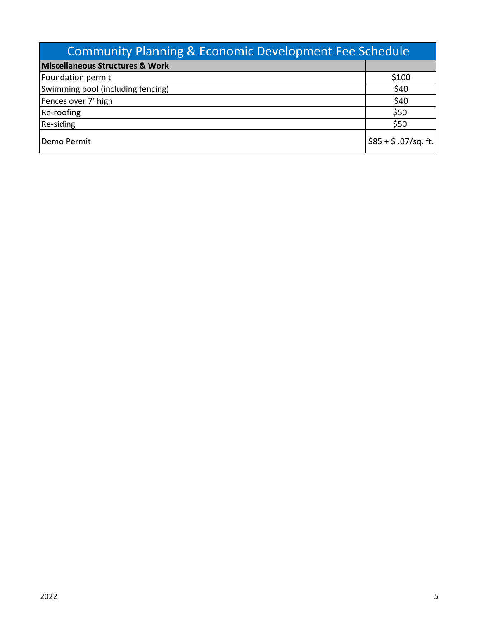| <b>Community Planning &amp; Economic Development Fee Schedule</b> |                           |
|-------------------------------------------------------------------|---------------------------|
| <b>Miscellaneous Structures &amp; Work</b>                        |                           |
| Foundation permit                                                 | \$100                     |
| Swimming pool (including fencing)                                 | \$40                      |
| Fences over 7' high                                               | \$40                      |
| Re-roofing                                                        | \$50                      |
| Re-siding                                                         | \$50                      |
| Demo Permit                                                       | $ $ \$85 + \$ .07/sq. ft. |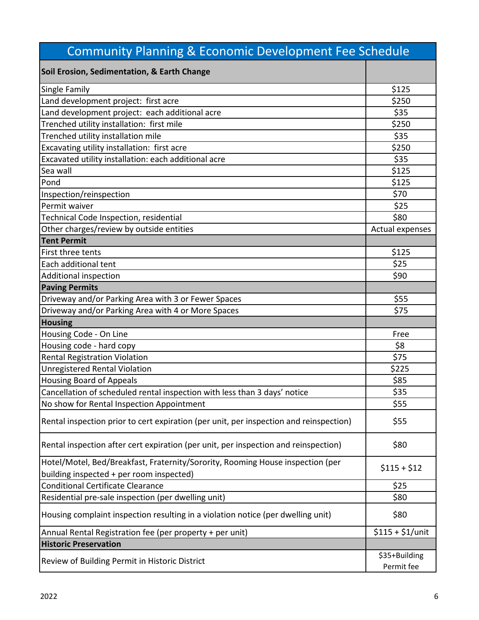| <b>Community Planning &amp; Economic Development Fee Schedule</b>                                                          |                             |
|----------------------------------------------------------------------------------------------------------------------------|-----------------------------|
| Soil Erosion, Sedimentation, & Earth Change                                                                                |                             |
| Single Family                                                                                                              | \$125                       |
| Land development project: first acre                                                                                       | \$250                       |
| Land development project: each additional acre                                                                             | \$35                        |
| Trenched utility installation: first mile                                                                                  | \$250                       |
| Trenched utility installation mile                                                                                         | \$35                        |
| Excavating utility installation: first acre                                                                                | \$250                       |
| Excavated utility installation: each additional acre                                                                       | \$35                        |
| Sea wall                                                                                                                   | \$125                       |
| Pond                                                                                                                       | \$125                       |
| Inspection/reinspection                                                                                                    | \$70                        |
| Permit waiver                                                                                                              | \$25                        |
| Technical Code Inspection, residential                                                                                     | \$80                        |
| Other charges/review by outside entities                                                                                   | Actual expenses             |
| <b>Tent Permit</b>                                                                                                         |                             |
| First three tents                                                                                                          | \$125                       |
| Each additional tent                                                                                                       | \$25                        |
| <b>Additional inspection</b>                                                                                               | \$90                        |
| <b>Paving Permits</b>                                                                                                      |                             |
| Driveway and/or Parking Area with 3 or Fewer Spaces                                                                        | \$55                        |
| Driveway and/or Parking Area with 4 or More Spaces                                                                         | \$75                        |
| <b>Housing</b>                                                                                                             |                             |
| Housing Code - On Line                                                                                                     | Free                        |
| Housing code - hard copy                                                                                                   | \$8                         |
| <b>Rental Registration Violation</b>                                                                                       | \$75                        |
| <b>Unregistered Rental Violation</b>                                                                                       | \$225                       |
| <b>Housing Board of Appeals</b>                                                                                            | \$85                        |
| Cancellation of scheduled rental inspection with less than 3 days' notice                                                  | \$35                        |
| No show for Rental Inspection Appointment                                                                                  | \$55                        |
| Rental inspection prior to cert expiration (per unit, per inspection and reinspection)                                     | \$55                        |
| Rental inspection after cert expiration (per unit, per inspection and reinspection)                                        | \$80                        |
| Hotel/Motel, Bed/Breakfast, Fraternity/Sorority, Rooming House inspection (per<br>building inspected + per room inspected) | $$115 + $12$                |
| <b>Conditional Certificate Clearance</b>                                                                                   | \$25                        |
| Residential pre-sale inspection (per dwelling unit)                                                                        | \$80                        |
| Housing complaint inspection resulting in a violation notice (per dwelling unit)                                           | \$80                        |
| Annual Rental Registration fee (per property + per unit)                                                                   | $$115 + $1/$ unit           |
| <b>Historic Preservation</b>                                                                                               |                             |
| Review of Building Permit in Historic District                                                                             | \$35+Building<br>Permit fee |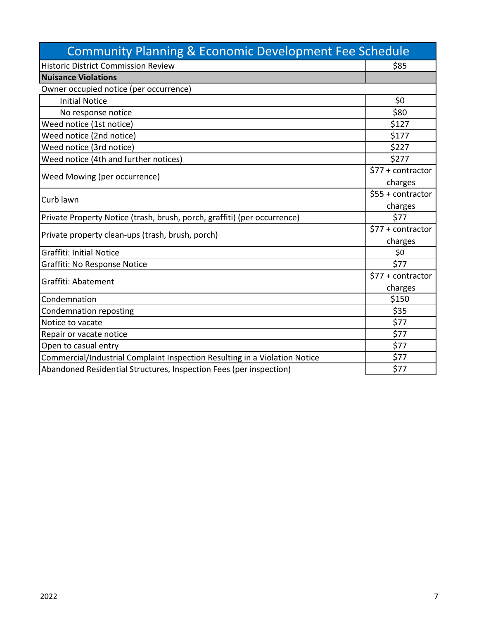| <b>Community Planning &amp; Economic Development Fee Schedule</b>          |                           |
|----------------------------------------------------------------------------|---------------------------|
| <b>Historic District Commission Review</b>                                 | \$85                      |
| <b>Nuisance Violations</b>                                                 |                           |
| Owner occupied notice (per occurrence)                                     |                           |
| <b>Initial Notice</b>                                                      | \$0                       |
| No response notice                                                         | \$80                      |
| Weed notice (1st notice)                                                   | \$127                     |
| Weed notice (2nd notice)                                                   | \$177                     |
| Weed notice (3rd notice)                                                   | \$227                     |
| Weed notice (4th and further notices)                                      | \$277                     |
|                                                                            | \$77 + contractor         |
| Weed Mowing (per occurrence)                                               | charges                   |
|                                                                            | \$55 + contractor         |
| Curb lawn                                                                  | charges                   |
| Private Property Notice (trash, brush, porch, graffiti) (per occurrence)   | \$77                      |
| Private property clean-ups (trash, brush, porch)                           | \$77 + contractor         |
|                                                                            | charges                   |
| <b>Graffiti: Initial Notice</b>                                            | \$0                       |
| Graffiti: No Response Notice                                               | \$77                      |
| Graffiti: Abatement                                                        | $$77 + \text{contractor}$ |
|                                                                            | charges                   |
| Condemnation                                                               | \$150                     |
| <b>Condemnation reposting</b>                                              | \$35                      |
| Notice to vacate                                                           | \$77                      |
| Repair or vacate notice                                                    | \$77                      |
| Open to casual entry                                                       | \$77                      |
| Commercial/Industrial Complaint Inspection Resulting in a Violation Notice | \$77                      |
| Abandoned Residential Structures, Inspection Fees (per inspection)         | \$77                      |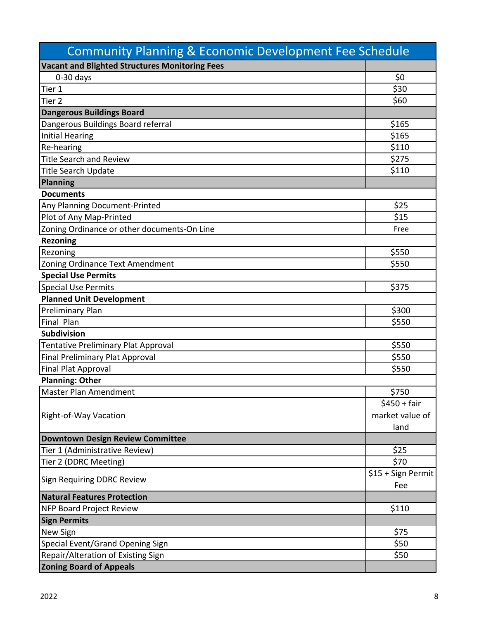| <b>Community Planning &amp; Economic Development Fee Schedule</b> |                    |
|-------------------------------------------------------------------|--------------------|
| <b>Vacant and Blighted Structures Monitoring Fees</b>             |                    |
| $0-30$ days                                                       | \$0                |
| Tier 1                                                            | \$30               |
| Tier <sub>2</sub>                                                 | \$60               |
| <b>Dangerous Buildings Board</b>                                  |                    |
| Dangerous Buildings Board referral                                | \$165              |
| <b>Initial Hearing</b>                                            | \$165              |
| Re-hearing                                                        | \$110              |
| <b>Title Search and Review</b>                                    | \$275              |
| <b>Title Search Update</b>                                        | \$110              |
| Planning                                                          |                    |
| <b>Documents</b>                                                  |                    |
| Any Planning Document-Printed                                     | \$25               |
| Plot of Any Map-Printed                                           | \$15               |
| Zoning Ordinance or other documents-On Line                       | Free               |
| <b>Rezoning</b>                                                   |                    |
| Rezoning                                                          | \$550              |
| Zoning Ordinance Text Amendment                                   | \$550              |
| <b>Special Use Permits</b>                                        |                    |
| <b>Special Use Permits</b>                                        | \$375              |
| <b>Planned Unit Development</b>                                   |                    |
| <b>Preliminary Plan</b>                                           | \$300              |
| Final Plan                                                        | \$550              |
| Subdivision                                                       |                    |
| <b>Tentative Preliminary Plat Approval</b>                        | \$550              |
| <b>Final Preliminary Plat Approval</b>                            | \$550              |
| Final Plat Approval                                               | \$550              |
| <b>Planning: Other</b>                                            |                    |
| <b>Master Plan Amendment</b>                                      | \$750              |
|                                                                   | $$450 + fair$      |
| Right-of-Way Vacation                                             | market value of    |
|                                                                   | land               |
| <b>Downtown Design Review Committee</b>                           |                    |
| Tier 1 (Administrative Review)                                    | \$25               |
| Tier 2 (DDRC Meeting)                                             | \$70               |
|                                                                   | \$15 + Sign Permit |
| Sign Requiring DDRC Review                                        | Fee                |
| <b>Natural Features Protection</b>                                |                    |
| NFP Board Project Review                                          | \$110              |
| <b>Sign Permits</b>                                               |                    |
| New Sign                                                          | \$75               |
| Special Event/Grand Opening Sign                                  | \$50               |
| Repair/Alteration of Existing Sign                                | \$50               |
| <b>Zoning Board of Appeals</b>                                    |                    |